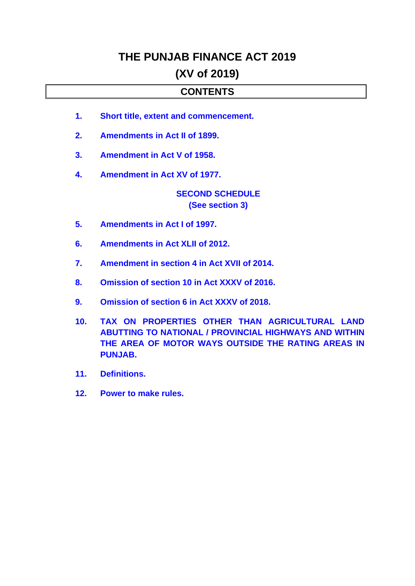## **THE PUNJAB FINANCE ACT 2019**

## **(XV of 2019)**

## **CONTENTS**

- <span id="page-0-0"></span>**1. [Short title, extent and commencement.](#page-1-0)**
- **2. [Amendments in Act II of 1899.](#page-1-1)**
- **3. [Amendment in Act V of 1958.](#page-1-2)**
- **4. [Amendment in Act XV of 1977.](#page-1-3)**

### **[SECOND SCHEDULE](#page-2-0) [\(See section 3\)](#page-2-0)**

- **5. [Amendments in Act I of 1997.](#page-5-0)**
- **6. [Amendments in Act XLII of 2012.](#page-6-0)**
- **7. [Amendment in section 4 in Act XVII of 2014.](#page-10-0)**
- **8. [Omission of section 10 in Act XXXV of 2016.](#page-10-1)**
- **9. [Omission of section 6 in Act XXXV of 2018.](#page-10-2)**
- **10. [TAX ON PROPERTIES OTHER THAN AGRICULTURAL LAND](#page-10-3)  [ABUTTING TO NATIONAL / PROVINCIAL HIGHWAYS AND WITHIN](#page-10-3)  [THE AREA OF MOTOR WAYS OUTSIDE THE RATING AREAS IN](#page-10-3)  [PUNJAB.](#page-10-3)**
- **11. [Definitions.](#page-11-0)**
- **12. [Power to make rules.](#page-0-0)**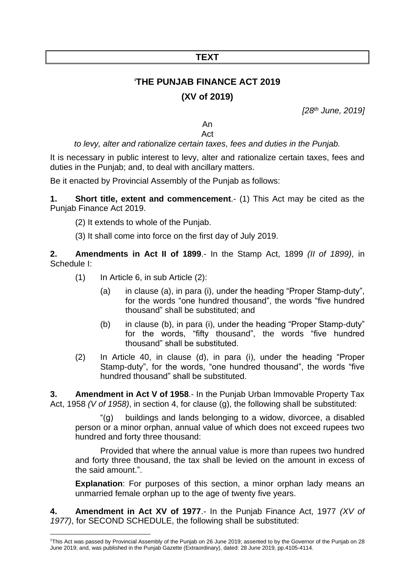### **TEXT**

# **1 THE PUNJAB FINANCE ACT 2019 (XV of 2019)**

*[28th June, 2019]*

#### An Act

### *to levy, alter and rationalize certain taxes, fees and duties in the Punjab.*

It is necessary in public interest to levy, alter and rationalize certain taxes, fees and duties in the Punjab; and, to deal with ancillary matters.

Be it enacted by Provincial Assembly of the Punjab as follows:

<span id="page-1-0"></span>**1. Short title, extent and commencement**.- (1) This Act may be cited as the Punjab Finance Act 2019.

(2) It extends to whole of the Punjab.

<span id="page-1-1"></span>(3) It shall come into force on the first day of July 2019.

**2. Amendments in Act II of 1899**.- In the Stamp Act, 1899 *(II of 1899)*, in Schedule I:

- (1) In Article 6, in sub Article (2):
	- (a) in clause (a), in para (i), under the heading "Proper Stamp-duty", for the words "one hundred thousand", the words "five hundred thousand" shall be substituted; and
	- (b) in clause (b), in para (i), under the heading "Proper Stamp-duty" for the words, "fifty thousand", the words "five hundred thousand" shall be substituted.
- (2) In Article 40, in clause (d), in para (i), under the heading "Proper Stamp-duty", for the words, "one hundred thousand", the words "five hundred thousand" shall be substituted.

<span id="page-1-2"></span>**3. Amendment in Act V of 1958**.- In the Punjab Urban Immovable Property Tax Act, 1958 *(V of 1958)*, in section 4, for clause (g), the following shall be substituted:

"(g) buildings and lands belonging to a widow, divorcee, a disabled person or a minor orphan, annual value of which does not exceed rupees two hundred and forty three thousand:

Provided that where the annual value is more than rupees two hundred and forty three thousand, the tax shall be levied on the amount in excess of the said amount.".

<span id="page-1-3"></span>**Explanation**: For purposes of this section, a minor orphan lady means an unmarried female orphan up to the age of twenty five years.

**4. Amendment in Act XV of 1977**.- In the Punjab Finance Act, 1977 *(XV of 1977)*, for SECOND SCHEDULE, the following shall be substituted:

<sup>1</sup>This Act was passed by Provincial Assembly of the Punjab on 26 June 2019; assented to by the Governor of the Punjab on 28 June 2019; and, was published in the Punjab Gazette (Extraordinary), dated: 28 June 2019, pp.4105-4114.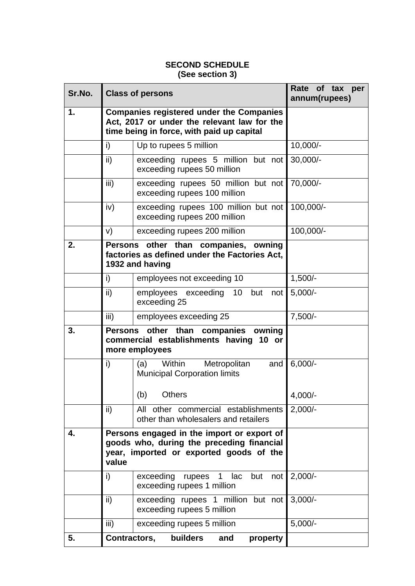### **SECOND SCHEDULE (See section 3)**

<span id="page-2-0"></span>

| Sr.No. |               | <b>Class of persons</b>                                                                                                                     | Rate of tax per<br>annum(rupees) |  |
|--------|---------------|---------------------------------------------------------------------------------------------------------------------------------------------|----------------------------------|--|
| 1.     |               | <b>Companies registered under the Companies</b><br>Act, 2017 or under the relevant law for the<br>time being in force, with paid up capital |                                  |  |
|        | i)            | Up to rupees 5 million                                                                                                                      | $10,000/-$                       |  |
|        | $\mathsf{ii}$ | exceeding rupees 5 million but not<br>exceeding rupees 50 million                                                                           | $30,000/-$                       |  |
|        | iii)          | exceeding rupees 50 million but not<br>exceeding rupees 100 million                                                                         | 70,000/-                         |  |
|        | iv)           | exceeding rupees 100 million but not<br>exceeding rupees 200 million                                                                        | 100,000/-                        |  |
|        | V)            | exceeding rupees 200 million                                                                                                                | 100,000/-                        |  |
| 2.     |               | Persons other than companies, owning<br>factories as defined under the Factories Act,<br>1932 and having                                    |                                  |  |
|        | i)            | employees not exceeding 10                                                                                                                  | $1,500/-$                        |  |
|        | ii)           | employees exceeding 10<br>but<br>not<br>exceeding 25                                                                                        | $5,000/-$                        |  |
|        | iii)          | employees exceeding 25                                                                                                                      | $7,500/-$                        |  |
| 3.     |               | Persons other than companies owning<br>commercial establishments having 10 or<br>more employees                                             |                                  |  |
|        | i)            | Within<br>(a)<br>Metropolitan<br>and<br><b>Municipal Corporation limits</b>                                                                 | $6,000/-$                        |  |
|        |               | (b)<br><b>Others</b>                                                                                                                        | 4,000/-                          |  |
|        | ii)           | All other commercial establishments<br>other than wholesalers and retailers                                                                 | $2,000/-$                        |  |
| 4.     | value         | Persons engaged in the import or export of<br>goods who, during the preceding financial<br>year, imported or exported goods of the          |                                  |  |
|        | i)            | exceeding rupees 1<br>lac<br>but<br>not<br>exceeding rupees 1 million                                                                       | $2,000/-$                        |  |
|        | ii)           | exceeding rupees 1 million but not  <br>exceeding rupees 5 million                                                                          | $3,000/-$                        |  |
|        | iii)          | exceeding rupees 5 million                                                                                                                  | $5,000/-$                        |  |
| 5.     | Contractors,  | builders<br>property<br>and                                                                                                                 |                                  |  |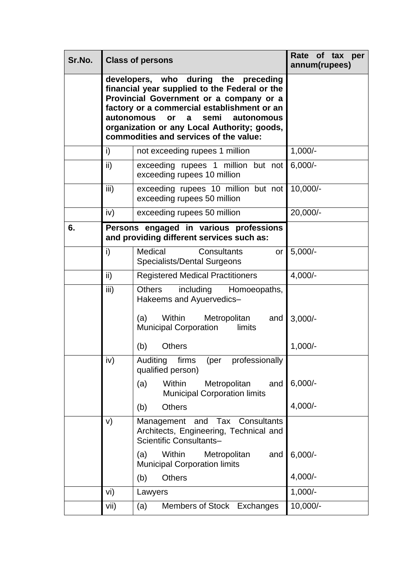| Sr.No. |               | <b>Class of persons</b>                                                                                                                                                                                                                                                                                   | Rate of tax per<br>annum(rupees) |
|--------|---------------|-----------------------------------------------------------------------------------------------------------------------------------------------------------------------------------------------------------------------------------------------------------------------------------------------------------|----------------------------------|
|        | autonomous    | developers, who during the preceding<br>financial year supplied to the Federal or the<br>Provincial Government or a company or a<br>factory or a commercial establishment or an<br>semi<br>or<br>autonomous<br>a<br>organization or any Local Authority; goods,<br>commodities and services of the value: |                                  |
|        | i)            | not exceeding rupees 1 million                                                                                                                                                                                                                                                                            | $1,000/-$                        |
|        | ii)           | exceeding rupees 1 million but not<br>exceeding rupees 10 million                                                                                                                                                                                                                                         | $6,000/-$                        |
|        | iii)          | exceeding rupees 10 million but not<br>exceeding rupees 50 million                                                                                                                                                                                                                                        | $10,000/-$                       |
|        | iv)           | exceeding rupees 50 million                                                                                                                                                                                                                                                                               | 20,000/-                         |
| 6.     |               | Persons engaged in various professions<br>and providing different services such as:                                                                                                                                                                                                                       |                                  |
|        | i)            | Medical<br>Consultants<br>or<br><b>Specialists/Dental Surgeons</b>                                                                                                                                                                                                                                        | $5,000/-$                        |
|        | $\mathsf{ii}$ | <b>Registered Medical Practitioners</b>                                                                                                                                                                                                                                                                   | $4,000/-$                        |
|        | iii)          | including<br><b>Others</b><br>Homoeopaths,<br>Hakeems and Ayuervedics-<br>(a)<br>Within<br>Metropolitan<br>and<br><b>Municipal Corporation</b><br>limits                                                                                                                                                  | $3,000/-$                        |
|        |               | (b)<br><b>Others</b>                                                                                                                                                                                                                                                                                      | $1,000/-$                        |
|        | iv)           | Auditing<br>professionally<br>firms (per<br>qualified person)                                                                                                                                                                                                                                             |                                  |
|        |               | Within<br>Metropolitan<br>(a)<br>and<br><b>Municipal Corporation limits</b>                                                                                                                                                                                                                               | $6,000/-$                        |
|        |               | <b>Others</b><br>(b)                                                                                                                                                                                                                                                                                      | $4,000/-$                        |
|        | V)            | Management and Tax<br>Consultants<br>Architects, Engineering, Technical and<br>Scientific Consultants-                                                                                                                                                                                                    |                                  |
|        |               | Within<br>Metropolitan<br>(a)<br>and<br><b>Municipal Corporation limits</b>                                                                                                                                                                                                                               | $6,000/-$                        |
|        |               | (b)<br><b>Others</b>                                                                                                                                                                                                                                                                                      | $4,000/-$                        |
|        | vi)           | Lawyers                                                                                                                                                                                                                                                                                                   | $1,000/-$                        |
|        | vii)          | Members of Stock Exchanges<br>(a)                                                                                                                                                                                                                                                                         | $10,000/-$                       |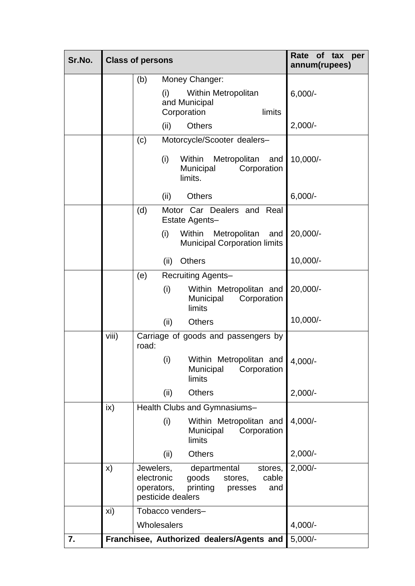| Sr.No. |       | <b>Class of persons</b>                                    |                                                                                    | Rate of tax per<br>annum(rupees) |
|--------|-------|------------------------------------------------------------|------------------------------------------------------------------------------------|----------------------------------|
|        |       | (b)                                                        | Money Changer:                                                                     |                                  |
|        |       | (i)                                                        | Within Metropolitan<br>and Municipal<br>limits<br>Corporation                      | $6,000/-$                        |
|        |       | (ii)                                                       | <b>Others</b>                                                                      | $2,000/-$                        |
|        |       | (c)                                                        | Motorcycle/Scooter dealers-                                                        |                                  |
|        |       | (i)                                                        | Within<br>Metropolitan<br>and<br>Municipal<br>Corporation<br>limits.               | $10,000/-$                       |
|        |       | (ii)                                                       | <b>Others</b>                                                                      | $6,000/-$                        |
|        |       | (d)                                                        | Motor Car Dealers and Real<br>Estate Agents-                                       |                                  |
|        |       | (i)                                                        | Within<br>Metropolitan<br>and<br><b>Municipal Corporation limits</b>               | $20,000/-$                       |
|        |       | (ii)                                                       | <b>Others</b>                                                                      | 10,000/-                         |
|        |       | (e)                                                        | Recruiting Agents-                                                                 |                                  |
|        |       | (i)                                                        | Within Metropolitan and<br>Municipal<br>Corporation<br>limits                      | $20,000/-$                       |
|        |       | (ii)                                                       | <b>Others</b>                                                                      | 10,000/-                         |
|        | viii) | road:                                                      | Carriage of goods and passengers by                                                |                                  |
|        |       | (i)                                                        | Within Metropolitan and 4,000/-<br>Corporation<br>Municipal<br>limits              |                                  |
|        |       | (ii)                                                       | <b>Others</b>                                                                      | $2,000/-$                        |
|        | ix)   |                                                            | Health Clubs and Gymnasiums-                                                       |                                  |
|        |       | (i)                                                        | Within Metropolitan and<br>Corporation<br>Municipal<br>limits                      | $4,000/-$                        |
|        |       | (ii)                                                       | <b>Others</b>                                                                      | $2,000/-$                        |
|        | X)    | Jewelers,<br>electronic<br>operators,<br>pesticide dealers | departmental<br>stores,<br>goods<br>cable<br>stores,<br>printing<br>and<br>presses | $2,000/-$                        |
|        | xi)   | Tobacco venders-                                           |                                                                                    |                                  |
|        |       | Wholesalers                                                |                                                                                    | $4,000/-$                        |
| 7.     |       |                                                            | Franchisee, Authorized dealers/Agents and                                          | $5,000/-$                        |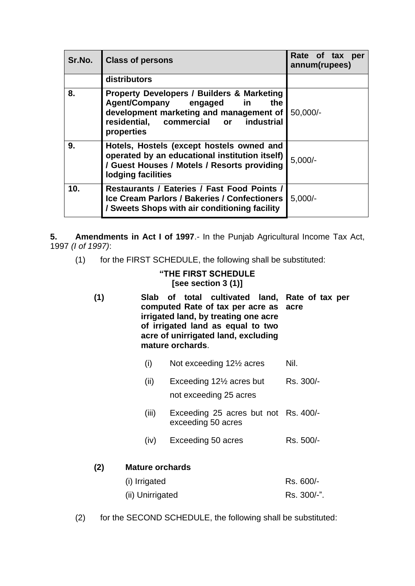| Sr.No.          | <b>Class of persons</b>                                                                                                                                                                              | Rate of tax per<br>annum(rupees) |
|-----------------|------------------------------------------------------------------------------------------------------------------------------------------------------------------------------------------------------|----------------------------------|
|                 | distributors                                                                                                                                                                                         |                                  |
| 8.              | <b>Property Developers / Builders &amp; Marketing</b><br>Agent/Company engaged<br>the<br><u>in</u><br>development marketing and management of<br>residential, commercial or industrial<br>properties | $50,000/-$                       |
| 9.              | Hotels, Hostels (except hostels owned and<br>operated by an educational institution itself)<br>/ Guest Houses / Motels / Resorts providing<br>lodging facilities                                     | $5,000/-$                        |
| 10 <sub>1</sub> | Restaurants / Eateries / Fast Food Points /<br><b>Ice Cream Parlors / Bakeries / Confectioners</b><br>/ Sweets Shops with air conditioning facility                                                  | $5,000/-$                        |

<span id="page-5-0"></span>**5. Amendments in Act I of 1997**.- In the Punjab Agricultural Income Tax Act, 1997 *(I of 1997)*:

(1) for the FIRST SCHEDULE, the following shall be substituted:

### **"THE FIRST SCHEDULE [see section 3 (1)]**

- **(1) Slab of total cultivated land, Rate of tax per computed Rate of tax per acre as acre irrigated land, by treating one acre of irrigated land as equal to two acre of unirrigated land, excluding mature orchards**.
	- (i) Not exceeding  $12\frac{1}{2}$  acres Nil.
	- (ii) Exceeding 12½ acres but not exceeding 25 acres Rs. 300/-
	- (iii) Exceeding 25 acres but not Rs. 400/ exceeding 50 acres
	- $(iv)$  Exceeding 50 acres Rs. 500/-

## **(2) Mature orchards** (i) Irrigated Rs. 600/- (ii) Unirrigated Rs. 300/-".

(2) for the SECOND SCHEDULE, the following shall be substituted: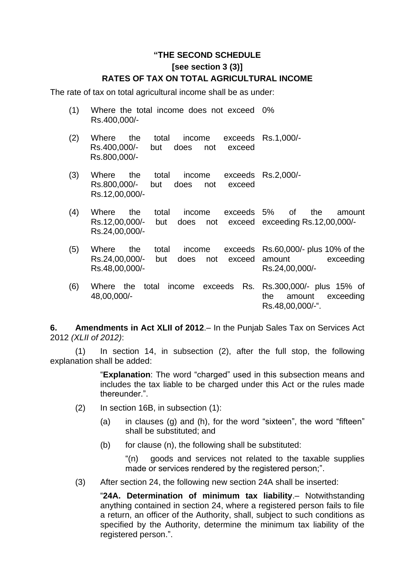### **"THE SECOND SCHEDULE [see section 3 (3)] RATES OF TAX ON TOTAL AGRICULTURAL INCOME**

The rate of tax on total agricultural income shall be as under:

- (1) Where the total income does not exceed 0% Rs.400,000/-
- (2) Where the total income exceeds Rs.1,000/- Rs.400,000/- but does not exceed Rs.800,000/-
- (3) Where the total income exceeds Rs.2,000/- Rs.800,000/- but does not exceed Rs.12,00,000/-
- (4) Where the total income exceeds Rs.12,00,000/- but does not Rs.24,00,000/ of the amount exceeding Rs.12,00,000/-
- (5) Where the total income exceeds Rs.60,000/- plus 10% of the Rs.24,00,000/- but does not exceed Rs.48,00,000/ amount exceeding Rs.24,00,000/-
- (6) Where the total income exceeds Rs. Rs.300,000/- plus 15% of 48,00,000/ the amount exceeding Rs.48,00,000/-".

<span id="page-6-0"></span>**6. Amendments in Act XLII of 2012**.– In the Punjab Sales Tax on Services Act 2012 *(XLII of 2012)*:

(1) In section 14, in subsection (2), after the full stop, the following explanation shall be added:

> "**Explanation**: The word "charged" used in this subsection means and includes the tax liable to be charged under this Act or the rules made thereunder.".

- (2) In section 16B, in subsection (1):
	- (a) in clauses (g) and (h), for the word "sixteen", the word "fifteen" shall be substituted; and
	- (b) for clause (n), the following shall be substituted:

"(n) goods and services not related to the taxable supplies made or services rendered by the registered person;".

(3) After section 24, the following new section 24A shall be inserted:

"**24A. Determination of minimum tax liability**.– Notwithstanding anything contained in section 24, where a registered person fails to file a return, an officer of the Authority, shall, subject to such conditions as specified by the Authority, determine the minimum tax liability of the registered person.".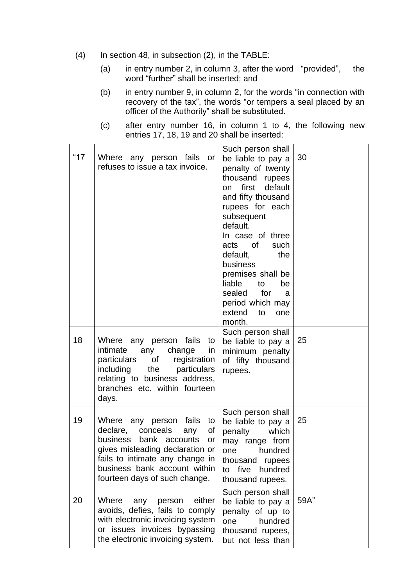- (4) In section 48, in subsection (2), in the TABLE:
	- (a) in entry number 2, in column 3, after the word "provided", the word "further" shall be inserted; and
	- (b) in entry number 9, in column 2, for the words "in connection with recovery of the tax", the words "or tempers a seal placed by an officer of the Authority" shall be substituted.
	- (c) after entry number 16, in column 1 to 4, the following new entries 17, 18, 19 and 20 shall be inserted:

| " $17$ | Where any person fails or<br>refuses to issue a tax invoice.                                                                                                                                                                                   | Such person shall<br>be liable to pay a<br>penalty of twenty<br>thousand<br>rupees<br>first<br>default<br><b>on</b><br>and fifty thousand<br>rupees for each<br>subsequent<br>default.<br>In case of three<br>of<br>such<br>acts<br>default,<br>the<br>business<br>premises shall be<br>liable<br>to<br>be<br>for<br>sealed<br>a<br>period which may<br>extend<br>to<br>one<br>month. | 30   |
|--------|------------------------------------------------------------------------------------------------------------------------------------------------------------------------------------------------------------------------------------------------|---------------------------------------------------------------------------------------------------------------------------------------------------------------------------------------------------------------------------------------------------------------------------------------------------------------------------------------------------------------------------------------|------|
| 18     | Where any person fails<br>to<br>intimate<br>change<br>any<br>in.<br>particulars<br>of<br>registration<br>including<br>the<br>particulars<br>relating to business address,<br>branches etc. within fourteen<br>days.                            | Such person shall<br>be liable to pay a<br>minimum penalty<br>of fifty thousand<br>rupees.                                                                                                                                                                                                                                                                                            | 25   |
| 19     | any person fails<br>Where<br>to<br>declare,<br>conceals<br>any<br>Οf<br>bank accounts<br>business<br>or<br>gives misleading declaration or<br>fails to intimate any change in<br>business bank account within<br>fourteen days of such change. | Such person shall<br>be liable to pay a<br>which<br>penalty<br>may range from<br>hundred<br>one<br>thousand<br>rupees<br>five<br>hundred<br>to<br>thousand rupees.                                                                                                                                                                                                                    | 25   |
| 20     | Where<br>either<br>person<br>any<br>avoids, defies, fails to comply<br>with electronic invoicing system<br>or issues invoices bypassing<br>the electronic invoicing system.                                                                    | Such person shall<br>be liable to pay a<br>penalty of up to<br>hundred<br>one<br>thousand rupees,<br>but not less than                                                                                                                                                                                                                                                                | 59A" |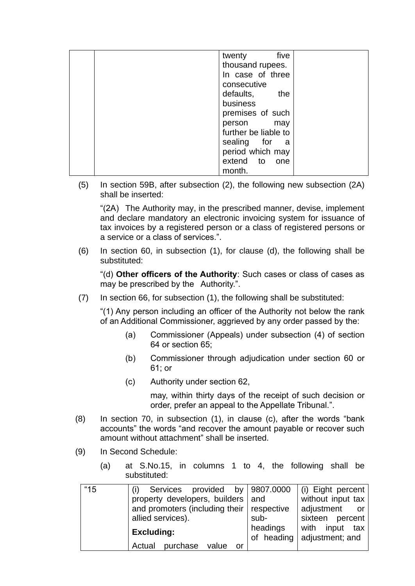| five<br>twenty       |  |
|----------------------|--|
| thousand rupees.     |  |
| In case of three     |  |
| consecutive          |  |
| defaults,<br>the     |  |
| business             |  |
| premises of such     |  |
| person may           |  |
| further be liable to |  |
| sealing for a        |  |
| period which may     |  |
| extend to one        |  |
| month.               |  |

(5) In section 59B, after subsection (2), the following new subsection (2A) shall be inserted:

"(2A) The Authority may, in the prescribed manner, devise, implement and declare mandatory an electronic invoicing system for issuance of tax invoices by a registered person or a class of registered persons or a service or a class of services.".

(6) In section 60, in subsection (1), for clause (d), the following shall be substituted:

"(d) **Other officers of the Authority**: Such cases or class of cases as may be prescribed by the Authority.".

(7) In section 66, for subsection (1), the following shall be substituted:

"(1) Any person including an officer of the Authority not below the rank of an Additional Commissioner, aggrieved by any order passed by the:

- (a) Commissioner (Appeals) under subsection (4) of section 64 or section 65;
- (b) Commissioner through adjudication under section 60 or 61; or
- (c) Authority under section 62,

may, within thirty days of the receipt of such decision or order, prefer an appeal to the Appellate Tribunal.".

- (8) In section 70, in subsection (1), in clause (c), after the words "bank accounts" the words "and recover the amount payable or recover such amount without attachment" shall be inserted.
- (9) In Second Schedule:
	- (a) at S.No.15, in columns 1 to 4, the following shall be substituted:

| "15" | Services provided<br>(i)                    | by 9807.0000           | (i) Eight percent                    |
|------|---------------------------------------------|------------------------|--------------------------------------|
|      | property developers, builders and           |                        | without input tax                    |
|      | and promoters (including their   respective |                        | adjustment<br>or o                   |
|      | allied services).                           | sub-                   | sixteen percent                      |
|      | <b>Excluding:</b>                           | headings<br>of heading | with input<br>tax<br>adjustment; and |
|      | purchase<br>Actual<br>value<br>or           |                        |                                      |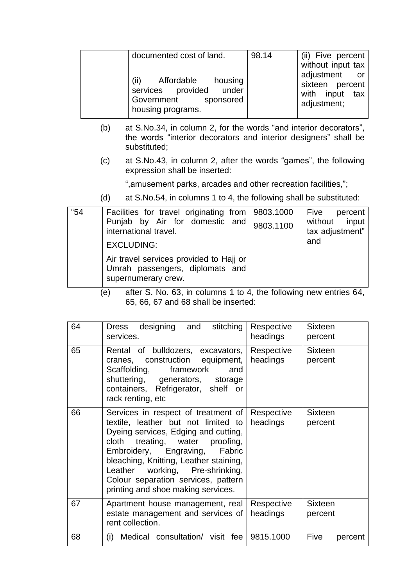| documented cost of land.                                                                              | 98.14 | (ii) Five percent                                                                         |
|-------------------------------------------------------------------------------------------------------|-------|-------------------------------------------------------------------------------------------|
| (ii)<br>Affordable<br>housing<br>services provided under<br>Government sponsored<br>housing programs. |       | without input tax<br>adjustment or<br>sixteen percent<br>with input<br>tax<br>adjustment; |

- (b) at S.No.34, in column 2, for the words "and interior decorators", the words "interior decorators and interior designers" shall be substituted;
- (c) at S.No.43, in column 2, after the words "games", the following expression shall be inserted:

",amusement parks, arcades and other recreation facilities,";

(d) at S.No.54, in columns 1 to 4, the following shall be substituted:

| "54" | Facilities for travel originating from 9803.1000<br>Punjab by Air for domestic and<br>international travel.<br><b>EXCLUDING:</b> | 9803.1100 | Five<br>percent<br>without input<br>tax adjustment"<br>and |
|------|----------------------------------------------------------------------------------------------------------------------------------|-----------|------------------------------------------------------------|
|      | Air travel services provided to Hajj or<br>Umrah passengers, diplomats and<br>supernumerary crew.                                |           |                                                            |

(e) after S. No. 63, in columns 1 to 4, the following new entries 64, 65, 66, 67 and 68 shall be inserted:

| 64 | designing and stitching<br>Dress<br>services.                                                                                                                                                                                                                                                                                                             | Respective<br>headings | <b>Sixteen</b><br>percent |
|----|-----------------------------------------------------------------------------------------------------------------------------------------------------------------------------------------------------------------------------------------------------------------------------------------------------------------------------------------------------------|------------------------|---------------------------|
| 65 | Rental of bulldozers, excavators,<br>cranes, construction equipment,<br>Scaffolding,<br>framework<br>and<br>shuttering, generators, storage<br>containers, Refrigerator, shelf or<br>rack renting, etc                                                                                                                                                    | Respective<br>headings | <b>Sixteen</b><br>percent |
| 66 | Services in respect of treatment of<br>textile, leather but not limited to<br>Dyeing services, Edging and cutting,<br>cloth<br>treating, water<br>proofing,<br>Embroidery, Engraving,<br>Fabric<br>bleaching, Knitting, Leather staining,<br>Leather working, Pre-shrinking,<br>Colour separation services, pattern<br>printing and shoe making services. | Respective<br>headings | <b>Sixteen</b><br>percent |
| 67 | Apartment house management, real<br>estate management and services of<br>rent collection.                                                                                                                                                                                                                                                                 | Respective<br>headings | <b>Sixteen</b><br>percent |
| 68 | Medical consultation/ visit fee<br>(i)                                                                                                                                                                                                                                                                                                                    | 9815.1000              | Five<br>percent           |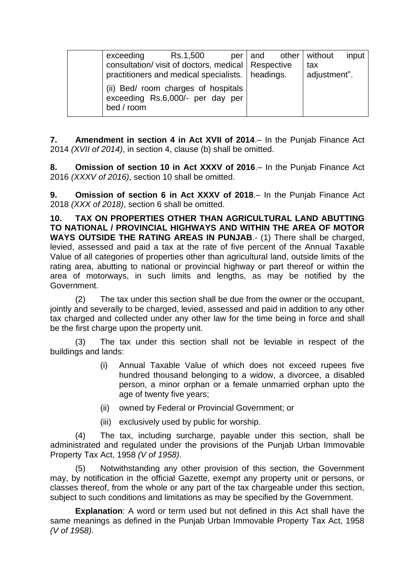| exceeding                                                                             | Rs.1,500 |  | per and other without | input |
|---------------------------------------------------------------------------------------|----------|--|-----------------------|-------|
| consultation/ visit of doctors, medical   Respective                                  |          |  | tax                   |       |
| practitioners and medical specialists.   headings.                                    |          |  | adjustment".          |       |
| (ii) Bed/ room charges of hospitals<br>exceeding Rs.6,000/- per day per<br>bed / room |          |  |                       |       |

<span id="page-10-0"></span>**7. Amendment in section 4 in Act XVII of 2014**.– In the Punjab Finance Act 2014 *(XVII of 2014)*, in section 4, clause (b) shall be omitted.

<span id="page-10-1"></span>**8. Omission of section 10 in Act XXXV of 2016**.– In the Punjab Finance Act 2016 *(XXXV of 2016)*, section 10 shall be omitted.

<span id="page-10-2"></span>**9. Omission of section 6 in Act XXXV of 2018**.– In the Punjab Finance Act 2018 *(XXX of 2018)*, section 6 shall be omitted.

<span id="page-10-3"></span>**10. TAX ON PROPERTIES OTHER THAN AGRICULTURAL LAND ABUTTING TO NATIONAL / PROVINCIAL HIGHWAYS AND WITHIN THE AREA OF MOTOR WAYS OUTSIDE THE RATING AREAS IN PUNJAB**.- (1) There shall be charged, levied, assessed and paid a tax at the rate of five percent of the Annual Taxable Value of all categories of properties other than agricultural land, outside limits of the rating area, abutting to national or provincial highway or part thereof or within the area of motorways, in such limits and lengths, as may be notified by the Government.

(2) The tax under this section shall be due from the owner or the occupant, jointly and severally to be charged, levied, assessed and paid in addition to any other tax charged and collected under any other law for the time being in force and shall be the first charge upon the property unit.

(3) The tax under this section shall not be leviable in respect of the buildings and lands:

- (i) Annual Taxable Value of which does not exceed rupees five hundred thousand belonging to a widow, a divorcee, a disabled person, a minor orphan or a female unmarried orphan upto the age of twenty five years;
- (ii) owned by Federal or Provincial Government; or
- (iii) exclusively used by public for worship.

(4) The tax, including surcharge, payable under this section, shall be administrated and regulated under the provisions of the Punjab Urban Immovable Property Tax Act, 1958 *(V of 1958)*.

(5) Notwithstanding any other provision of this section, the Government may, by notification in the official Gazette, exempt any property unit or persons, or classes thereof, from the whole or any part of the tax chargeable under this section, subject to such conditions and limitations as may be specified by the Government.

**Explanation**: A word or term used but not defined in this Act shall have the same meanings as defined in the Punjab Urban Immovable Property Tax Act, 1958 *(V of 1958)*.